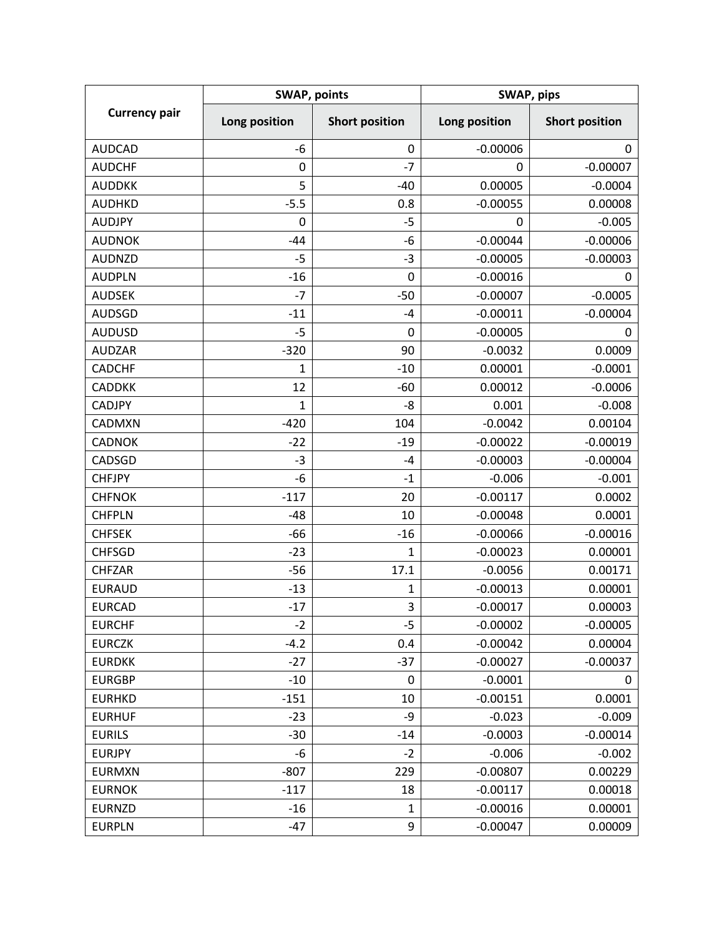| <b>Currency pair</b> | <b>SWAP, points</b> |                       | SWAP, pips    |                       |
|----------------------|---------------------|-----------------------|---------------|-----------------------|
|                      | Long position       | <b>Short position</b> | Long position | <b>Short position</b> |
| <b>AUDCAD</b>        | $-6$                | 0                     | $-0.00006$    | 0                     |
| <b>AUDCHF</b>        | 0                   | $-7$                  | 0             | $-0.00007$            |
| <b>AUDDKK</b>        | 5                   | $-40$                 | 0.00005       | $-0.0004$             |
| <b>AUDHKD</b>        | $-5.5$              | 0.8                   | $-0.00055$    | 0.00008               |
| <b>AUDJPY</b>        | 0                   | $-5$                  | 0             | $-0.005$              |
| <b>AUDNOK</b>        | $-44$               | -6                    | $-0.00044$    | $-0.00006$            |
| <b>AUDNZD</b>        | $-5$                | $-3$                  | $-0.00005$    | $-0.00003$            |
| <b>AUDPLN</b>        | $-16$               | 0                     | $-0.00016$    | 0                     |
| <b>AUDSEK</b>        | $-7$                | $-50$                 | $-0.00007$    | $-0.0005$             |
| <b>AUDSGD</b>        | $-11$               | -4                    | $-0.00011$    | $-0.00004$            |
| <b>AUDUSD</b>        | $-5$                | 0                     | $-0.00005$    | 0                     |
| <b>AUDZAR</b>        | $-320$              | 90                    | $-0.0032$     | 0.0009                |
| <b>CADCHF</b>        | 1                   | $-10$                 | 0.00001       | $-0.0001$             |
| <b>CADDKK</b>        | 12                  | $-60$                 | 0.00012       | $-0.0006$             |
| <b>CADJPY</b>        | 1                   | -8                    | 0.001         | $-0.008$              |
| CADMXN               | $-420$              | 104                   | $-0.0042$     | 0.00104               |
| <b>CADNOK</b>        | $-22$               | $-19$                 | $-0.00022$    | $-0.00019$            |
| CADSGD               | $-3$                | $-4$                  | $-0.00003$    | $-0.00004$            |
| <b>CHFJPY</b>        | $-6$                | $-1$                  | $-0.006$      | $-0.001$              |
| <b>CHFNOK</b>        | $-117$              | 20                    | $-0.00117$    | 0.0002                |
| <b>CHFPLN</b>        | $-48$               | 10                    | $-0.00048$    | 0.0001                |
| <b>CHFSEK</b>        | -66                 | $-16$                 | $-0.00066$    | $-0.00016$            |
| <b>CHFSGD</b>        | $-23$               | $\mathbf{1}$          | $-0.00023$    | 0.00001               |
| <b>CHFZAR</b>        | $-56$               | 17.1                  | $-0.0056$     | 0.00171               |
| <b>EURAUD</b>        | $-13$               | 1                     | $-0.00013$    | 0.00001               |
| <b>EURCAD</b>        | $-17$               | 3                     | $-0.00017$    | 0.00003               |
| <b>EURCHF</b>        | $-2$                | -5                    | $-0.00002$    | $-0.00005$            |
| <b>EURCZK</b>        | $-4.2$              | 0.4                   | $-0.00042$    | 0.00004               |
| <b>EURDKK</b>        | $-27$               | $-37$                 | $-0.00027$    | $-0.00037$            |
| <b>EURGBP</b>        | $-10$               | 0                     | $-0.0001$     | 0                     |
| <b>EURHKD</b>        | $-151$              | 10                    | $-0.00151$    | 0.0001                |
| <b>EURHUF</b>        | $-23$               | -9                    | $-0.023$      | $-0.009$              |
| <b>EURILS</b>        | $-30$               | $-14$                 | $-0.0003$     | $-0.00014$            |
| <b>EURJPY</b>        | -6                  | $-2$                  | $-0.006$      | $-0.002$              |
| <b>EURMXN</b>        | $-807$              | 229                   | $-0.00807$    | 0.00229               |
| <b>EURNOK</b>        | $-117$              | 18                    | $-0.00117$    | 0.00018               |
| <b>EURNZD</b>        | $-16$               | 1                     | $-0.00016$    | 0.00001               |
| <b>EURPLN</b>        | $-47$               | 9                     | $-0.00047$    | 0.00009               |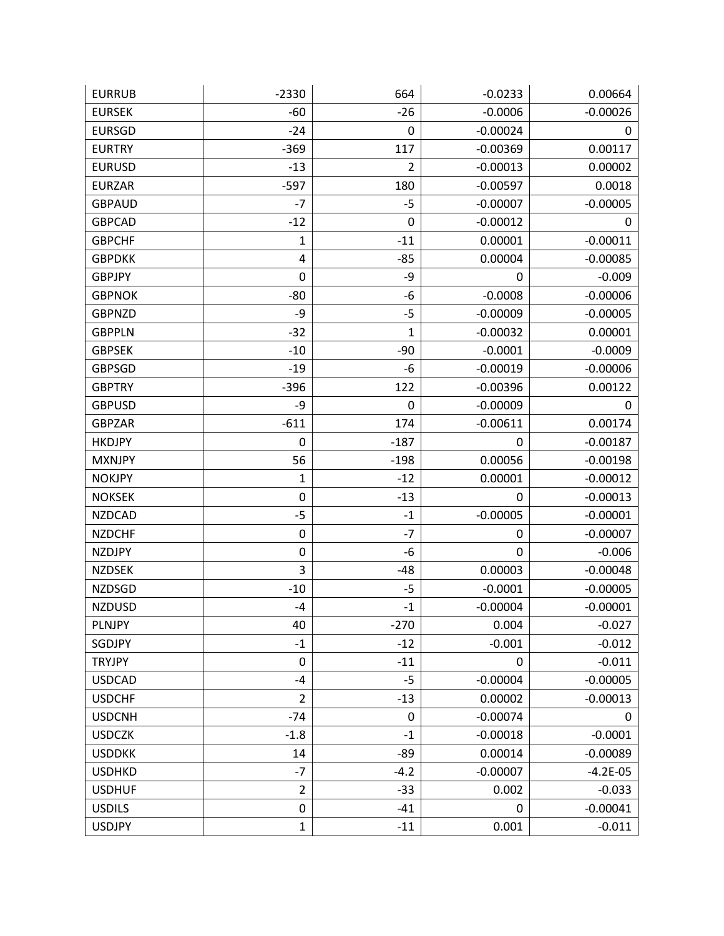| <b>EURRUB</b> | $-2330$        | 664            | $-0.0233$   | 0.00664    |
|---------------|----------------|----------------|-------------|------------|
| <b>EURSEK</b> | $-60$          | $-26$          | $-0.0006$   | $-0.00026$ |
| <b>EURSGD</b> | $-24$          | 0              | $-0.00024$  | 0          |
| <b>EURTRY</b> | $-369$         | 117            | $-0.00369$  | 0.00117    |
| <b>EURUSD</b> | $-13$          | $\overline{2}$ | $-0.00013$  | 0.00002    |
| <b>EURZAR</b> | $-597$         | 180            | $-0.00597$  | 0.0018     |
| <b>GBPAUD</b> | $-7$           | $-5$           | $-0.00007$  | $-0.00005$ |
| <b>GBPCAD</b> | $-12$          | 0              | $-0.00012$  | 0          |
| <b>GBPCHF</b> | $\mathbf 1$    | $-11$          | 0.00001     | $-0.00011$ |
| <b>GBPDKK</b> | 4              | $-85$          | 0.00004     | $-0.00085$ |
| <b>GBPJPY</b> | 0              | -9             | 0           | $-0.009$   |
| <b>GBPNOK</b> | $-80$          | -6             | $-0.0008$   | $-0.00006$ |
| <b>GBPNZD</b> | -9             | $-5$           | $-0.00009$  | $-0.00005$ |
| <b>GBPPLN</b> | $-32$          | $\mathbf{1}$   | $-0.00032$  | 0.00001    |
| <b>GBPSEK</b> | $-10$          | $-90$          | $-0.0001$   | $-0.0009$  |
| <b>GBPSGD</b> | $-19$          | -6             | $-0.00019$  | $-0.00006$ |
| <b>GBPTRY</b> | $-396$         | 122            | $-0.00396$  | 0.00122    |
| <b>GBPUSD</b> | -9             | 0              | $-0.00009$  | 0          |
| <b>GBPZAR</b> | $-611$         | 174            | $-0.00611$  | 0.00174    |
| <b>HKDJPY</b> | 0              | $-187$         | 0           | $-0.00187$ |
| <b>MXNJPY</b> | 56             | $-198$         | 0.00056     | $-0.00198$ |
| <b>NOKJPY</b> | 1              | $-12$          | 0.00001     | $-0.00012$ |
| <b>NOKSEK</b> | 0              | $-13$          | 0           | $-0.00013$ |
| <b>NZDCAD</b> | $-5$           | $-1$           | $-0.00005$  | $-0.00001$ |
| <b>NZDCHF</b> | 0              | $-7$           | 0           | $-0.00007$ |
| <b>NZDJPY</b> | $\pmb{0}$      | -6             | $\mathbf 0$ | $-0.006$   |
| <b>NZDSEK</b> | 3              | $-48$          | 0.00003     | $-0.00048$ |
| <b>NZDSGD</b> | $-10$          | $-5$           | $-0.0001$   | $-0.00005$ |
| <b>NZDUSD</b> | -4             | $-1$           | $-0.00004$  | $-0.00001$ |
| <b>PLNJPY</b> | 40             | $-270$         | 0.004       | $-0.027$   |
| SGDJPY        | $-1$           | $-12$          | $-0.001$    | $-0.012$   |
| <b>TRYJPY</b> | $\pmb{0}$      | $-11$          | 0           | $-0.011$   |
| <b>USDCAD</b> | $-4$           | $-5$           | $-0.00004$  | $-0.00005$ |
| <b>USDCHF</b> | $\overline{2}$ | $-13$          | 0.00002     | $-0.00013$ |
| <b>USDCNH</b> | $-74$          | 0              | $-0.00074$  | 0          |
| <b>USDCZK</b> | $-1.8$         | $-1$           | $-0.00018$  | $-0.0001$  |
| <b>USDDKK</b> | 14             | $-89$          | 0.00014     | $-0.00089$ |
| <b>USDHKD</b> | $-7$           | $-4.2$         | $-0.00007$  | $-4.2E-05$ |
| <b>USDHUF</b> | $\overline{2}$ | $-33$          | 0.002       | $-0.033$   |
| <b>USDILS</b> | 0              | $-41$          | 0           | $-0.00041$ |
| <b>USDJPY</b> | $\mathbf 1$    | $-11$          | 0.001       | $-0.011$   |